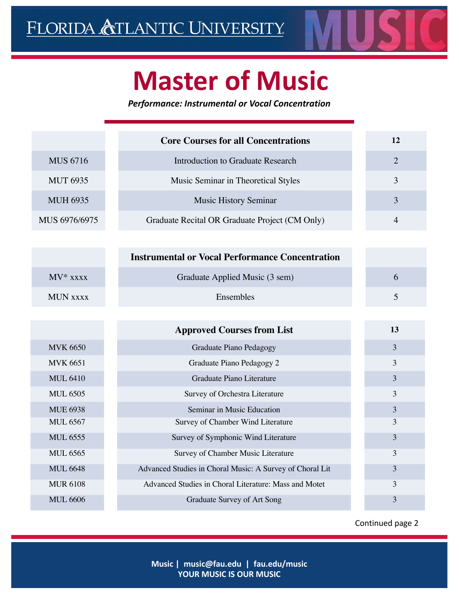

## **Master of Music**

*Performance: Instrumental or Vocal Concentration*

|                 | <b>Core Courses for all Concentrations</b>               | 12             |
|-----------------|----------------------------------------------------------|----------------|
| <b>MUS 6716</b> | <b>Introduction to Graduate Research</b>                 | $\overline{2}$ |
| <b>MUT 6935</b> | Music Seminar in Theoretical Styles                      | $\overline{3}$ |
| <b>MUH 6935</b> | <b>Music History Seminar</b>                             | $\overline{3}$ |
| MUS 6976/6975   | Graduate Recital OR Graduate Project (CM Only)           | $\overline{4}$ |
|                 |                                                          |                |
|                 | <b>Instrumental or Vocal Performance Concentration</b>   |                |
| $MV*$ xxxx      | Graduate Applied Music (3 sem)                           | 6              |
| <b>MUN XXXX</b> | Ensembles                                                | 5              |
|                 |                                                          |                |
|                 |                                                          |                |
|                 | <b>Approved Courses from List</b>                        | 13             |
| <b>MVK 6650</b> | Graduate Piano Pedagogy                                  | 3              |
| <b>MVK 6651</b> | Graduate Piano Pedagogy 2                                | 3              |
| <b>MUL 6410</b> | Graduate Piano Literature                                | 3              |
| <b>MUL 6505</b> | Survey of Orchestra Literature                           | 3              |
| <b>MUE 6938</b> | Seminar in Music Education                               | 3              |
| <b>MUL 6567</b> | Survey of Chamber Wind Literature                        | 3              |
| <b>MUL 6555</b> | Survey of Symphonic Wind Literature                      | 3              |
| <b>MUL 6565</b> | Survey of Chamber Music Literature                       | 3              |
| <b>MUL 6648</b> | Advanced Studies in Choral Music: A Survey of Choral Lit | 3              |
| <b>MUR 6108</b> | Advanced Studies in Choral Literature: Mass and Motet    | 3              |

Continued page 2